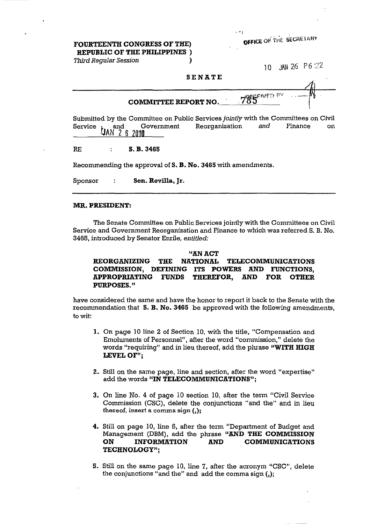OFFICE OF THE SECRETARY

#### FOURTEENTH CONGRESS OF THE) REPUBLIC OF THE PHILIPPINES )

Third Regular Session (1999)

10 JMN 26 P6:22

#### SEN ATE

COMMITTEE REPORT NO.  $1.785$ <sup>ENVER</sup>

Submitted by the Committee on Public Services jointly with the Committees on Civil Service and Government Reorganization and Finance on  $\hat{J}AN$  2 6 2010 JAN 26

RE S. B. 3465

Recommending the approval of S. B. No. 3465 with amendments.

Sponsor : Sen. Revilla, Jr.

#### MR. PRESIDENT:

The Senate Committee on Public Services jointly with the Committees on Civil Service and Government Reorganization and Finance to which was referred S. B. No. 3466, introduced by Senator Enrile, entitled:

## "AN ACT REORGANIZING THE NATIONAL TELECOMMUNICATIONS COMMISSION, DEFINING ITS POWERS AND FUNCTIONS, APPROPRIATING FUNDS THEREFOR, AND FOR OTHER PURPOSES. "

have considered the same and have the honor to report it back to the Senate with the recommendation that  $S. B. No. 3465$  be approved with the following amendments, to wit:

- 1. On page 10 line 2 of Section 10, with the title, "Compensation and Emoluments of Personnel", after the word "commission," delete the words "requiring" and in lieu thereof, add the phrase "WITH HIGH LEVEL OF".
- 2. Still on the same page, line and section, after the word "expertise" add the words "IN TELECOMMUNICATIONS";
- 3. On line No.4 of page 10 section 10, after the term "Civil Service Commission (CSC), delete the conjunctions "and the" and in lieu thereof, insert a comma sign **(,);**
- 4. Still on page 10, line 6, after the term "Department of Budget and Management (DBM), add the phrase "AND THE COMMISSION ON INFORMATION AND COMMUNICATIONS TECHNOLOGY";
- 5. Still on the same page 10, line 7, after the acronym "CSC", delete the conjunctions "and the" and add the comma sign (,);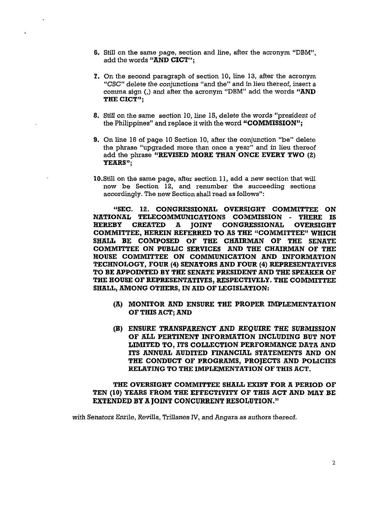- 6. Still on the same page, section and line, after the acronym "DBM", add the words "AND CICT":
- 7. On the second paragraph of section 10, line 13, after the acronym "CSC" delete the conjunctions "and the" and in lieu thereof, insert a comma sign (,) and after the acronym "DBM" add the words "AND THE CICT":
- 8. Still on the same section 10, line 15, delete the words "president of the Philippines" and replace it with the word "COMMISSION";
- 9. On line 16 of page 10 Section 10, after the conjunction "be" delete the phrase "upgraded more than once a year" and in lieu thereof add the phrase "REVISED MORE THAN ONCE EVERY TWO (2) YEARS";
- 10.Still on the same page, after section 11, add a new section that will now be Section 12, and renumber the succeeding sections accordingly. The new Section shall read as follows":

"SEC. 12. CONGRESSIONAL OVERSIGHT COMMITTEE ON NATIONAL TELECOMMUNICATIONS COMMISSION - THERE IS HEREBY CREATED A JOINT CONGRESSIONAL OVERSIGHT COMMITTEE, HEREIN REFERRED TO AS THE "COMMITTEE" WHICH SHALL BE COMPOSED OF THE CHAIRMAN OF THE SENATE COMMITTEE ON PUBLIC SERVICES AND THE CHAIRMAN OF THE HOUSE COMMITTEE ON COMMUNICATION AND INFORMATION TECHNOLOGY, FOUR (4) SENATORS AND FOUR (4) REPRESENTATIVES TO BE APPOINTED BY THE SENATE PRESIDENT AND THE SPEAKER OF THE HOUSE OF REPRESENTATIVES, RESPECTIVELY. THE COMMITTEE SHALL, AMONG OTHERS, IN AID OF LEGISLATION:

- (A) MONITOR AND ENSURE THE PROPER IMPLEMENTATION OF THIS ACT; AND
- (B) ENSURE TRANSPARENCY AND REQUIRE THE SUBMISSION OF ALL PERTINENT INFORMATION INCLUDING BUT NOT LIMITED TO, ITS COLLECTION PERFORMANCE DATA AND ITS ANNUAL AUDITED FINANCIAL STATEMENTS AND ON THE CONDUCT OF PROGRAMS, PROJECTS AND POLICIES RELATING TO THE IMPLEMENTATION OF THIS ACT.

## THE OVERSIGHT COMMITTEE SHALL EXIST FOR A PERIOD OF TEN (10) YEARS FROM THE EFFECTIVITY OF THIS ACT AND MAY BE EXTENDED BY A JOINT CONCURRENT RESOLUTION."

with Senators Enrile, Revilla, Trillanes *N,* and Angara as authors thereof.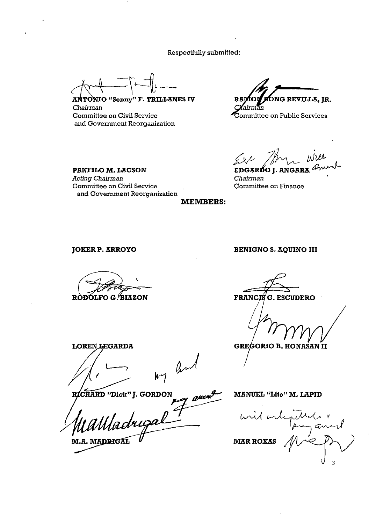Respectfully submitted:

 $~\sqrt{1 - 1}$ 

ANTONIO "Sonny" F. TRILLANES IV *Chairman*  Committee on Civil Service and Government Reorganization

.<br>Ong revilla, jr. Ъn

ommittee on Public Services

EDGARDO I. ANGARA

*Chairman*  Committee on Finance

MEMBERS:

JOKER P. ARROYO

PANFILO M. LACSON

Committee on Civil Service

and Government Reorganization

*Acting Chairman* 

RODOLFO G. BIAZON

**LOREN LEGARDA**  $\frac{1}{2}$  $M_1$   $M_2$   $M_3$ 

and MANUEL " M.A. MADRIGAI

**GREGORIO B. HONASAN II** 

MANUEL "Lito" M. LAPID

Turner " **MAR ROXAS** 

BENIGNO S. AQUINO III

**G. ESCUDERO** 

**FRANCIS**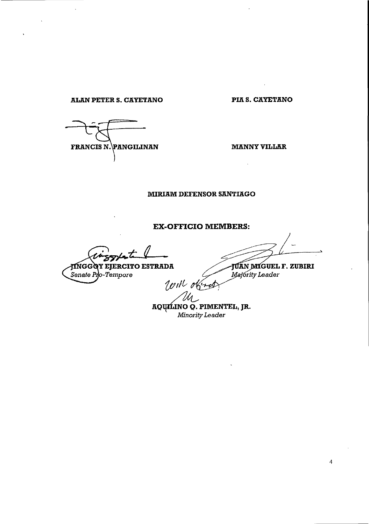**ALl!.N PETER S. CAYETANO PIA S. CAYETANO** 

FRANCIS N. PANGILINAN

**MANNY VILLAR** 

 $\ddot{\phantom{a}}$ 

## **MIRIAM DEFENSOR SANTIAGO**

# **EX-OFFICIO MEMBERS:**

JINGGOY EJERCITO ESTRADA<br>Senate Pro-Tempore<br>Vill obres

**JÚAN MIGUEL F. ZUBIRI**<br>*Majority Leader* 

AQ~ **PIMENTEL, JR.**  *Minority Leader*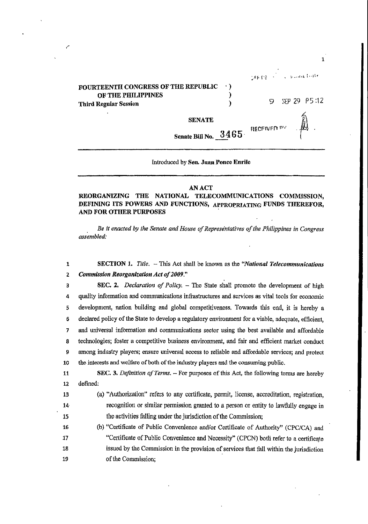|                                                                                           |   |  | THERE IS a builded offer |
|-------------------------------------------------------------------------------------------|---|--|--------------------------|
| FOURTEENTH CONGRESS OF THE REPUBLIC<br>OF THE PHILIPPINES<br><b>Third Regular Session</b> | 9 |  | SEP 29 P5:12             |
| <b>SENATE</b>                                                                             |   |  | $\mathbb{R}$             |
| Senate Bill No. $3465$ . RECEIVED by                                                      |   |  |                          |

Introduced by Sen. Juan Ponce Enrile

#### AN ACT

#### REORGANIZING THE NATIONAL TELECOMMUNICATIONS COMMISSION, DEFINING ITS POWERS AND FUNCTIONS, APPROpRIATING FUNDS THEREFOR, AND FOR OTHER PURPOSES

*. Be it enacted by the Senate and House of Representatives of the Philippines in Congress assembled:* 

1 SECTION 1. *Title.* - This Act shall be known as the *"National Telecommunications*  2 *Commission Reorganization Act of 2009,"* 

3 SEC. 2. *Declaration of Policy.* - The State shall promote the development of high 4 quality information and commwrications infrastructures and services as vital tools for economic 5 development, nation building and global competitiveness. Towards this end, it is hereby a 6 declated policy of the State to develop a regulatory environment for a viable, adequate, efficient, 7 and wriversal information and commwrications sector using the best available and affordable 8 technologies; foster a competitive business environment, and fair and efficient market conduct 9 among industry players; ensure wriversal access to reliable and affordable services; and protect 10 the interests and welfare of both of the industry players and the consuming public.

11 SEC. 3. *Definition of Terms.* - For purposes of this Act, the following terms are hereby 12 defined:

- 13 Ca) "Authorization" refers to any certificate, pennit, license, accreditation, registration, 14 recognition or similar pennission granted to a person or entity to laWfully engage in 15 the activities falling under the jurisdiction of the Commission;
- 16 (b) "Certificate of Public Convenience andlor Certificate of Authority" (CPCICA) and 17 "Certificate of Public Convenience and Necessity" (CPCN) both refer to a certificate 18 issued by the Commission in the provision of services that fall within the jurisdiction 19 of the Commission;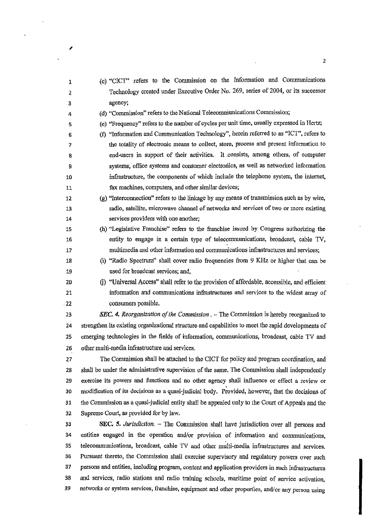| 1                      | (c) "CICT" refers to the Commission on the Information and Communications                           |
|------------------------|-----------------------------------------------------------------------------------------------------|
| $\boldsymbol{\lambda}$ | Technology created under Executive Order No. 269, series of 2004, or its successor                  |
| 3                      | agency;                                                                                             |
| 4                      | (d) "Commission" refers to the National Telecommunications Commission;                              |
| 5                      | (e) "Frequency" refers to the number of cycles per unit time, usually expressed in Hertz;           |
| 6                      | (f) "Information and Communication Technology", herein referred to as "ICT", refers to              |
| 7                      | the totality of electronic means to collect, store, process and present information to              |
| 8                      | end-users in support of their activities. It consists, among others, of computer                    |
| 9                      | systems, office systems and consumer electronics, as well as networked information                  |
| 10                     | infrastructure, the components of which include the telephone system, the internet,                 |
| 11                     | fax machines, computers, and other similar devices;                                                 |
| 12                     | $(g)$ "Interconnection" refers to the linkage by any means of transmission such as by wire,         |
| 13                     | radio, satellite, microwave channel of networks and services of two or more existing                |
| 14                     | services providers with one another;                                                                |
| 15                     | (h) "Legislative Franchise" refers to the franchise issued by Congress authorizing the              |
| 16                     | entity to engage in a certain type of telecommunications, broadcast, cable TV,                      |
| 17                     | multimedia and other information and communications infrastructures and services;                   |
| 18                     | (i) "Radio Spectrum" shall cover radio frequencies from 9 KHz or higher that can be                 |
| 19                     | used for broadcast services; and,                                                                   |
| 20                     | (j) "Universal Access" shall refer to the provision of affordable, accessible, and efficient        |
| 21                     | information and communications infrastructures and services to the widest array of                  |
| .22                    | consumers possible.                                                                                 |
| 23                     | <b>SEC.</b> 4. Reorganization of the Commission $. -$ The Commission is hereby reorganized to       |
| 24                     | strengthen its existing organizational structure and capabilities to meet the rapid developments of |
| 25                     | emerging technologies in the fields of information, communications, broadcast, cable TV and         |
| 26                     | other multi-media infrastructure and services.                                                      |
| 27                     | The Commission shall be attached to the CICT for policy and program coordination, and               |
| 28                     | shall be under the administrative supervision of the same. The Commission shall independently       |
| 29                     | exercise its powers and functions and no other agency shall influence or effect a review or         |
| 30                     | modification of its decisions as a quasi-judicial body. Provided, however, that the decisions of    |
| 31                     | the Commission as a quasi-judicial entity shall be appealed only to the Court of Appeals and the    |
| 32                     | Supreme Court, as provided for by law.                                                              |
| 33                     | SEC. 5. Jurisdiction. $-$ The Commission shall have jurisdiction over all persons and               |
| 34                     | entities engaged in the operation and/or provision of information and communications,               |
| 35                     | telecommunications, broadcast, cable TV and other multi-media infrastructures and services.         |
| 36                     | Pursuant thereto, the Commission shall exercise supervisory and regulatory powers over such         |
| 37                     | persons and entities, including program, content and application providers in such infrastructures  |
| 38                     | and services, radio stations and radio training schools, maritime point of service activation,      |
| 39                     | networks or system services, franchise, equipment and other properties, and/or any person using     |

 $\overline{\phantom{a}}$ 

 $\bar{\lambda}$ 

 $\ddot{\phantom{a}}$ 

 $\hat{\mathcal{A}}$ 

 $\bar{\beta}$ 

2

 $\epsilon$ 

 $\hat{\mathcal{A}}$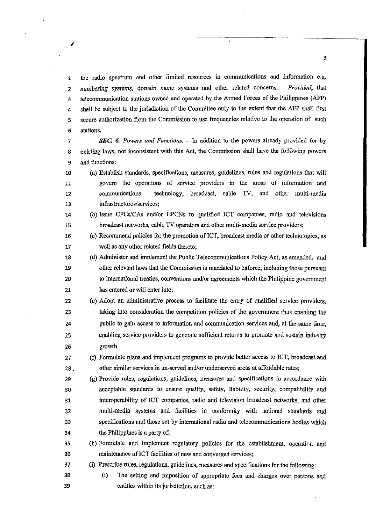1 the radio spectrum and other limited resources in communications and information e.g. 2 nwnbering systems, domain name systems and other related concerns.: *Provided,* that 3 telecommunication stations owned and operated by the Armed Forces of the Philippines (APP) 4 shall be subject to the jurisdiction of the Committee only to the extent that the AFP shall first 5 secure authorization from the Commission to use frequencies relative to the operation of such 6 stations.

*7 SEC.* 6. *Powers and Functions.* - In addition to the powers already provided for by 8 existing laws, not inconsistent with this Act, the Commission shall have the following powers 9 and functions:

10 (a) Establish standards, specifications, measures, guidelines, rules and regulations that will 11 govern the operations of service providers in the areas of information and 12 commuuications technology, broadcast, cable TV, and .other multi-media 13 infrastructures/services;

14 (b) Issue *CPCslCAs* aodlor CPCNs to qualified ICT contpaoies, radio aod televisions 15 broadcast networks, cable TV operators and other mnlti-media service providers;

16 (c) Recommend policies for the promotion ofICT, broadcast media or other teclmologies, as 17 well as any other related fields thereto;

18 (d) Administer and implement the Public Telecommunications Policy Act, as amended, and 19 other relevant laws that the Commission is mandated to enforce, including those pursuant 20 to international treaties, conventions andlor agreements which the Philippine govennnent 21 has entered or will enter into;

22 (e) Adopt an administrative process to facilitate the entry of qualified service providers, 23 taking into consideration the competition policies of the govenunent thus enabling the 24 public to gain access to information and communication services and, at the same time, 25 enabling service providers to generate sufficient returns to promote and sustain industry 26 growth

27 (I) Formulate plans and implement programs to provide better access to ICT, broadcast and 28 . other similar services in un-served and/or underserved areas at affordable rates;

29 (g) Provide rules, regulations, guidelines, measures and specifications in accordance with 30 acceptable standards to ensure quality, safety, liability, security, compatibility and 31 interoperability of ICT companies, radio and television broadcast networks, and other 32 multi-media systems aud facilities in conformity with national standards aud 33 specifications and those set by international radio and telecommunications bodies which 34 the Philippines is a party of;

35 (h) Formulate and implement regnlatory policies for the establisinnent, operation and 36 maintenance of ICT facilities of new and converged services;

37 (i) Prescribe rules, regulations, guidelines, measures and specifications for the following:

38 (i) The setting and imposition of appropriate fees and charges over persons and 39 entities within its jurisdiction, such as:

I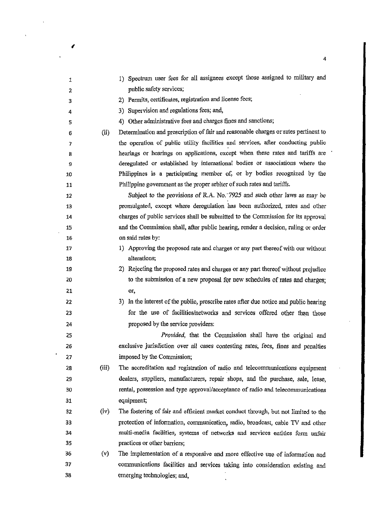| 1                       |       | 1) Spectrum user fees for all assignees except those assigned to military and         |
|-------------------------|-------|---------------------------------------------------------------------------------------|
| $\overline{\mathbf{2}}$ |       | public safety services;                                                               |
| 3                       |       | 2) Permits, certificates, registration and license fees;                              |
| 4                       |       | 3) Supervision and regulations fees; and,                                             |
| 5                       |       | 4) Other administrative fees and charges fines and sanctions;                         |
| 6                       | (ii)  | Determination and prescription of fair and reasonable charges or rates pertinent to   |
| 7                       |       | the operation of public utility facilities and services, after conducting public      |
| 8                       |       | hearings or hearings on applications, except when these rates and tariffs are         |
| 9                       |       | deregulated or established by international bodies or associations where the          |
| 10                      |       | Philippines is a participating member of, or by bodies recognized by the              |
| 11                      |       | Philippine government as the proper arbiter of such rates and tariffs.                |
| 12                      |       | Subject to the provisions of R.A. No. 7925 and such other laws as may be              |
| 13                      |       | promulgated, except where deregulation has been authorized, rates and other           |
| 14                      |       | charges of public services shall be submitted to the Commission for its approval      |
| 15                      |       | and the Commission shall, after public hearing, render a decision, ruling or order    |
| 16                      |       | on said rates by:                                                                     |
| 17                      |       | 1) Approving the proposed rate and charges or any part thereof with our without       |
| 18                      |       | alterations;                                                                          |
| 19                      |       | 2) Rejecting the proposed rates and charges or any part thereof without prejudice     |
| 20                      |       | to the submission of a new proposal for new schedules of rates and charges;           |
| 21                      |       | or,                                                                                   |
| 22                      |       | 3) In the interest of the public, prescribe rates after due notice and public hearing |
| 23                      |       | for the use of facilities/networks and services offered other than those              |
| 24                      |       | proposed by the service providers:                                                    |
| 25                      |       | Provided, that the Commission shall have the original and                             |
| 26                      |       | exclusive jurisdiction over all cases contesting rates, fees, fines and penalties     |
| 27                      |       | imposed by the Commission;                                                            |
| 28                      | (iii) | The accreditation and registration of radio and telecommunications equipment          |
| 29                      |       | dealers, suppliers, manufacturers, repair shops, and the purchase, sale, lease,       |
| 30                      |       | rental, possession and type approval/acceptance of radio and telecommunications       |
| 31                      |       | equipment;                                                                            |
| 32                      | (iv)  | The fostering of fair and efficient market conduct through, but not limited to the    |
| 33                      |       | protection of information, communication, radio, broadcast, cable TV and other        |
| 34                      |       | multi-media facilities, systems of networks and services entities form unfair         |
| 35                      |       | practices or other barriers;                                                          |
| 36                      | (v)   | The implementation of a responsive and more effective use of information and          |
| 37                      |       | communications facilities and services taking into consideration existing and         |
| 38                      |       | emerging technologies; and,                                                           |
|                         |       |                                                                                       |

4

 $\ddot{\phantom{a}}$ 

(

 $\hat{\mathbf{r}}$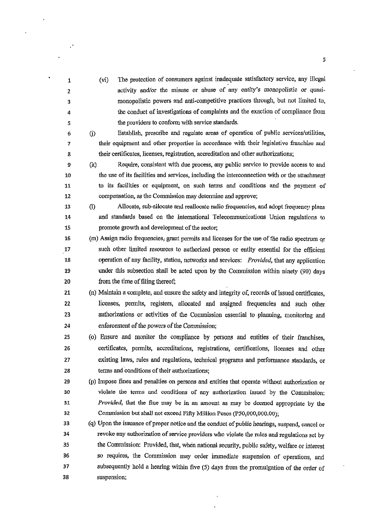1 2 3 4 5 6 (vi) The protection of consumers against inadequate satisfactory service, any illegal activity and/or the misuse or abuse of any entity's monopolistic or quasimonopolistic powers and anti-competitive practices through, but not limited to, the conduct of investigations of complaints and the exaction of compliance from the providers to conform with service standards. 0) Establish, prescribe and regulate areas of operation of public services/utilities, 7 their equipment and other properties in accordance with their legislative franchise and 8 their certificates, licenses, registration, accreditation and other anthorizations; 9 (k) Require, consistent with due process, any public service to provide access to and 10 the use of its facilities and services, including the interconnection with or the attachment 11 to its facilities or equipment, on such terms and conditions and the payment of 12 compensation, as the Commission may determine and approve; 13 (1) Allocate, sub-allocate and reallocate radio frequencies, and adopt frequency plans 14 and standards based on the International Telecommunications Duion regulations to 15 promote growth and development of the sector; 16 (m) Assign radio frequencies, grant permits and licenses for the use of the radio spectrum  $\alpha$ 17 such other limited resources to authorized person or entity essential for the efficient 18 operation of any facility, station, networks and services: *Provided,* that aoy application 19 under this subsection shall be acted upon by the Commission within uinety (90) days 20 from the time of filing thereof; 21 (n) Maintain a complete, and ensure the safety and integrity of, records of issued certificates, 22 licenses, permits, registers, allocated and assigned frequencies and such other 23 authorizations or activities of the Commission essential to ,plaoning, monitoring and 24 enforcement of the powers of the Commission; 25 (o) Ensure and monitor the compliance by persons and entities of their franchises, 26 certificates, permits, accreditations, registrations, certifications, licenses aod other 27 existing laws, rules and regulations, technical programs and performance standards, or 28 terms and 'conditions of their anthorizations; 29 (p) Impose fines and penalties on persons and entities that operate without authorization or 30 violate the terms and conditions of any authorization issued by the Commission; *31 Provided,* that the fine may be in an amount as may be deemed appropriate by the 32 Commission but shall not exceed Fifty Million Pesos (p50,OOO,OOO.OO); 33 (q) Upon the issuance of proper notice and the conduct of public hearings, suspend, cancel or 34 revoke auy authorization of service providers who violate the rules and regulations set by 35 the Commission: Provided, that, when national security, public safety, welfare or interest 36 so requires, the Commission may order immediate suspension of operations, and 37 subsequently hold a hearing within five (5) days from the promulgation of the order of 38 suspension;

 $\mathcal{L}$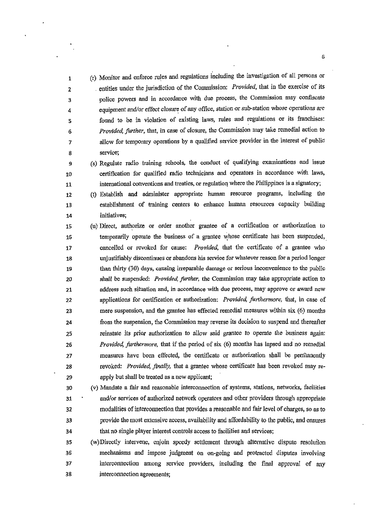(r) Monitor and enforce rules and regulations including the investigation of all persons or , entities under the jurisdiction of the Commission: *Provided,* that in the exercise of its police powers and in accordance with due process, the Commission may confiscate equipment and/or effect closure of any office, station or sub-station whose operations are found to be in violation of existing laws, rules and regulations or its franchises: *Provided, further,* that, in case of closure, the Connnission may take remedial action to allow for temporary operations by a qualified service provider in the interest of public **service;** 

- (s) Regulate radio training schools, the conduct of qualifying examinations and issue certification for qualified radio technicians and operators in accordance with laws, international conventions and treaties, or regulation where the Philippines is a signatory;
- (t) Establish and administer appropriate human resource programs, including the establishment of training centers to enhance human resources capacity building **initiatives;**

15 16 (u) Direct, authorize or order another grantee of a certification or authorization to temporarily operate the business of a grantee whose certificate has been suspended, 17 cancelled or revoked for cause: *Provided,* that the certificate of a grantee who 18 unjustifiably discontinues or abandons his service for whatever reason for a period longer 19 than thirty (30) days, causing irreparable damage or serious inconvenience to the public 20 shall be suspended: *Provided, further,* the Commission may take appropriate action to 21 address such situation and, in accordance with due process, may approve or award new 22 applications for certification or authorization: *Provided, furthermore,* that, in case of 23 mere suspension, and the grantee has effected remedial measures within six (6) months 24 from the suspension, the Commission may reverse its decision to suspend and thereafter 25 reinstate *its* prior authorization to allow said grantee to operate the business again: 26 *Provided, furthermore*, that if the period of six (6) months has lapsed and no remedial 27 measures have been effected, the certificate or authorization shall be penilanently 28 revoked: *Provided, finally,* that a grantee whose certificate has been revoked may re-29 apply but shall be treated as a new applicant;

30 (v) Mandate a fair and reasonable interconnection of systems, stations, networks, facilities 31 and/or services of authorized network operators and other providers through appropriate 32 modalities of intercormection that provides a reasonable and fair level of charges, so as to 33 provide tile most extensive access, availabilily and affordabilily to the public, and ensures 34 that no single player interest controls access to facilities and services;

35 (w)Directly intervene, enjoin speedy settlement through alternative dispute resolution 36 mechanisms and impose judgment On on-going and protracted disputes involving 37 intercormection among service providers, including the final approval of any 38 intercormection agreements;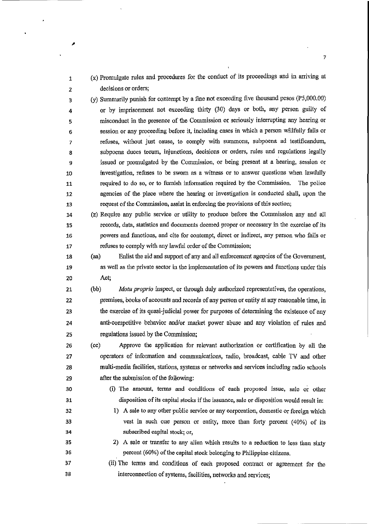1 (x) Promulgate rules and procedures for the conduct of its proceedings and in arriving at 2 decisions or orders; 3 (y) Summarily punish for contempt hy a fine not exceeding five thousand pesos (P5,OOO.OO) 4 or by imprisonment not exceeding thirty (30) days or both, any person guilty of 5 misconduct in the presence of the Commission at seriously interrupting any hearing or 6 session or any proceeding before it, including cases in which a person wiilfully fails or 7 refuses, without just cause, to comply with summons, subpoena ad testificandum, 8 subpoena duces tecum, injunctions, decisions or orders, rules and regulations legally 9 issued or promulgated by the Commission, or being present at a hearing, session or 10 investigation, refuses to be sworn as a witness or to answer questions when lawfully 11 required to do so, or to fumish information required by the Commission. The police 12 agencies of the place where the hearing or investigation is conducted shall, upon the 13 request of the Commission, assist in enforcing the provisions ofthis section; 14 (z) Require any public service or utility to produce before the Commission any and all 15 records, data, statistics and documents deemed proper or necessary in the exercise of its 16 powers and functions, and cite for contempt, direct or indirect, any person who fails or 17 refuses to comply with any lawful order of the Commission; 18 (aa) Enlist the aid and support of any and all enforcement agencies of the Government, 19 as well as the private sector in the implementation of its powers and functions under this 20 Act; 21 (bb) *Motu proprio* inspect, or through duly authorized representatives, the operations, 22 premises, books of accounts and records of any person or entity at any reasonable time, in 23 the exercise of its quasi-judicial power for purposes of determining the existence of any 24 anti-competitive behavior and/or market power abuse and any violation of rules and 25 regulations issued by the Commission; 26 (cc) Approve the application for relevant authorization or certification by all the 27 operators of information and communications, radio, broadcast, cable TV and other 28 multi-media facilities, stations, systems or networks and services including radio schools 29 after the submission of the following: 30 (i) The amount, terms and conditions of each proposed issue, sale or other 31 disposition of its capital stocks if the issuance, sale or disposition would result in: 32 1) A sale to any other public service or any corporation, domestic or foreign which 33 vest in such one person or entity, more than forty percent (40%) of its **34 subscribed capital stock; or,**  35 2) A sale or transfer to any alien which results to a reduction to less than sixty 36 percent (60%) of the capital stock belonging to Philippine citizens. 37 (ii) The tenus and conditions of each proposed contract or agreement for the 38 interconnection of systems, facilities, networks and services;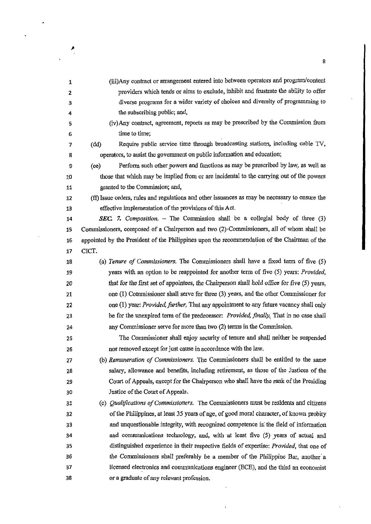| 1  | (iii)Any contract or arrangement entered into between operators and program/content            |
|----|------------------------------------------------------------------------------------------------|
| 2  | providers which tends or aims to exclude, inhibit and frustrate the ability to offer           |
| з  | diverse programs for a wider variety of choices and diversity of programming to                |
| 4  | the subscribing public; and,                                                                   |
| 5  | (iv) Any contract, agreement, reports as may be prescribed by the Commission from              |
| 6  | time to time;                                                                                  |
| 7  | Require public service time through broadcasting stations, including cable TV,<br>(dd)         |
| 8  | operators, to assist the government on public information and education;                       |
| 9  | Perform such other powers and functions as may be prescribed by law, as well as<br>(ee)        |
| 10 | those that which may be implied from or are incidental to the carrying out of the powers       |
| 11 | granted to the Commission; and,                                                                |
| 12 | (ff) Issue orders, rules and regulations and other issuances as may be necessary to ensure the |
| 13 | effective implementation of the provisions of this Act.                                        |
| 14 | SEC. 7. Composition. - The Commission shall be a collegial body of three (3)                   |
| 15 | Commissioners, composed of a Chairperson and two $(2)$ Commissioners, all of whom shall be     |
| 16 | appointed by the President of the Philippines upon the recommendation of the Chairman of the   |
| 17 | CICT.                                                                                          |
| 18 | (a) Tenure of Commissioners. The Commissioners shall have a fixed term of five $(5)$           |
| 19 | years with an option to be reappointed for another term of five (5) years: Provided,           |
| 20 | that for the first set of appointees, the Chairperson shall hold office for five (5) years,    |
| 21 | one (1) Commissioner shall serve for three (3) years, and the other Commissioner for           |
| 22 | one (1) year: <i>Provided, further</i> , That any appointment to any future vacancy shall only |
| 23 | be for the unexpired term of the predecessor: Provided, finally, That in no case shall         |
| 24 | any Commissioner serve for more than two (2) terms in the Commission.                          |
| 25 | The Commissioner shall enjoy security of tenure and shall neither be suspended                 |
| 26 | nor removed except for just cause in accordance with the law.                                  |
| 27 | (b) Remuneration of Commissioners. The Commissioners shall be entitled to the same             |
| 28 | salary, allowance and benefits, including retirement, as those of the Justices of the          |
| 29 | Court of Appeals, except for the Chairperson who shall have the rank of the Presiding          |
| 30 | Justice of the Court of Appeals.                                                               |
| 31 | (c) Qualifications of Commissioners. The Commissioners must be residents and citizens          |
| 32 | of the Philippines, at least 35 years of age, of good moral character, of known probity        |
| 33 | and unquestionable integrity, with recognized competence in the field of information           |
| 34 | and communications technology, and, with at least five (5) years of actual and                 |
| 35 | distinguished experience in their respective fields of expertise: Provided, that one of        |
| 36 | the Commissioners shall preferably be a member of the Philippine Bar, another a                |
| 37 | licensed electronics and communications engineer (ECE), and the third an economist             |
| 38 | or a graduate of any relevant profession.                                                      |

 $\ddot{\phantom{0}}$ 

8

 $\frac{1}{2}$  ,  $\frac{1}{2}$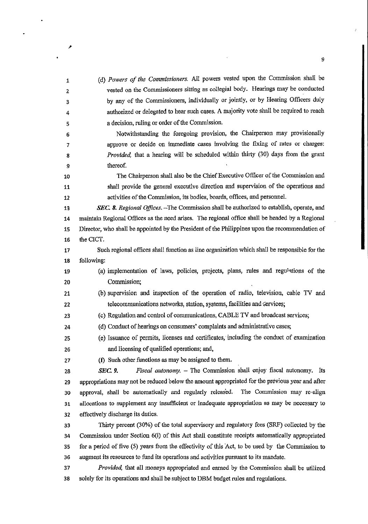1  $\overline{2}$ 3 4 5 6 (d) *Powers of Ihe Commissioners.* All powers vested upon the Commission shall be vested on the Commissioners sitting as collegial body. Hearings may be conducted by any of the Commissioners, individually or jointly, or by Hearing Officers duly authorized or delegated to hear such cases. A majority vote shall be required to reach a decision, ruling or order of the Commission. Notwithstanding the foregoing provision, the Chairperson may provisionally 7 approve or decide on immediate cases involving the fixing of rates or charges: 8 *Provided,* that a hearing will be scheduled within thirty (30) days from the grant 9 thereof. 10 The Chairperson shall also be the Chief Executive Officer of the Commission and 11 shall provide the general executive direction and supervision of the operations and 12 activities of the Commission, its bodies, boards, offices, and personnel. *13 SEC.* 8. *Regional Offices.* -The Commission shall be authorized to establish, operate, and 14 maintain Regional Offices as the need arises. The regionai office shall be headed by a Regional 15 Director, who shall be appointed by the President of the Philippines upon the recommendation of 16 the CICT. 17 Such regional offices shall function as line organization which shall be responsible for the 18 following: 19 (a) implementation of laws, policies, projects, plans, rules and regu<sup>1</sup> tions of the 20 Commission; 21 (b) supervision and inspection of the operation of radio, television, cable TV and 22 telecommunications networks, station, systems, facilities and Gervices; 23 (c) Regulation and control of communications, CABLE TV and broadcast services; 24 (d) Conduct of hearings on consumers' complaints and administrative cases; 25 (e) Issuance of permits, licenses and certificates; including the conduct of examination 26 and licensing of qualified operations; and, 27 (f) Such other functions as may be assigned to them. 28 *SEC. 9. Fiscal autonomy.* - The Commission shall enjoy fiscal autonomy. Its 29 appropriations may not be reduced below the amount appropriated for the previous year and after 30 approval, shall be automatically and regularly released. The Commission may re-align 31 allocations to supplement any insufficient or inadequate appropriation as may be necessary to 32 effectively discharge its duties. 33 Thirty percent (30%) orthe total supervisory and regulatory fees (SRF) collected by the 34 Commission under Section 6(i) of this Act shall constitute receipts automatically appropriated 35 for a period of five (5) years from the effectivity of this Act, to be used by the Commissiou to 36 augment its resources to fund its operations and activities pursuant to its mandate. *37 Provided,* that all moneys appropriated and earned by the Commission shall be utilized 38 solely for its operations and shall be subject to DBM budget rules and regulations.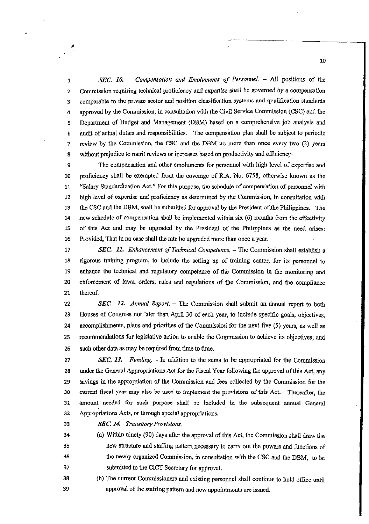1 *SEC. 10. Compensation and Emoluments of Personnel.* - All' positions of the 2 Commission requiring technical proficiency and expertise shall be governed by a compensation 3 comparable to the private sector and position classification systems and qualification standards 4 approved by the Connnission, in consultation with tbe Civil Service Commission (CSC) and the 5 Department of Budget and Management (DBM) based on a comprebensive job analysis and 6 audit of actual duties and responsibilities. The compensation plan shall be subject to periodic 7 review by the Commission, tbe CSC and the DBM no more than once every two (2) years 8 without prejudice to merit reviews or increases based on productivity and efficiency

9 The compensation and other emoluments for personnel with high level of expertise and 10 proficiency shall he exempted from the coverage of R.A. No. 6758, otherwise known as the 11 "Salary Standardization Act." For this purpose, the schedule of compensation of personnel with 12 high level of expertise and proficiency as determined by the Commission, in consultation with 13 the CSC and the DBM, shall be submitted for approval by the President of the Philippines. The 14 new schedule of compensation shall be implemented within six (6) months from the effectivity 15 of this Act and may be upgraded by the President of the Pbilippines as the need arises: 16 Provided, That in no case shall the rate be upgraded more than once a year.

17 **SEC. 11.** Enhancement of Technical Competence. – The Commission shall establish a 18 rigorous training program, to include the setting up of training center, for its personnel to 19 enhance the technical and regulatory competence of the Commission in the monitoring and 20 enforcement of laws, orders, rules and regulations of the Commission, and the compliance 21 thereof.

22 **SEC. 12.** *Annual Report.* – The Commission shall submit an annual report to both 23 Houses of Congress not later than April 30 of each year, to include specific goals, objectives, 24 accomplishments, plans and priorities of the Commission for the next five (5) years, as well as 25 recommendations for legislative action to enable the Commission to achieve its objectives; and 26 such other data as may be required from time to time.

*27 SEC. 13. Funding. – In addition to the sums to be appropriated for the Commission* 28 under the General Appropriations Act for the Fiscal Year following the approval of this Act, any 29 savings in the appropriation of the Commission and fees collected by the Commission for the 30 current fiscal year may also be used to implement the provisions of this Act. Thereafter, the 31 amount needed for such purpose shall be included in the subsequent annual General 32 Appropriations Acts, or through special appropriations.

33 **SEC. 14.** *Transitory Provisions.* 

34 (a) Within ninety (90) days after the approval of this Act, the Commission shall draw the 35 new structure and staffing pattern necessary to carry out the powers and functions of 36 37 the newly organized Commission, in consultation with the CSC and the DBM, to be submitted to the CICT Secretary for approval.

38 (b) The current Commissioners and existing personnel shall continue to hold office until 39 approval of the staffing pattern and new appointments are issued.